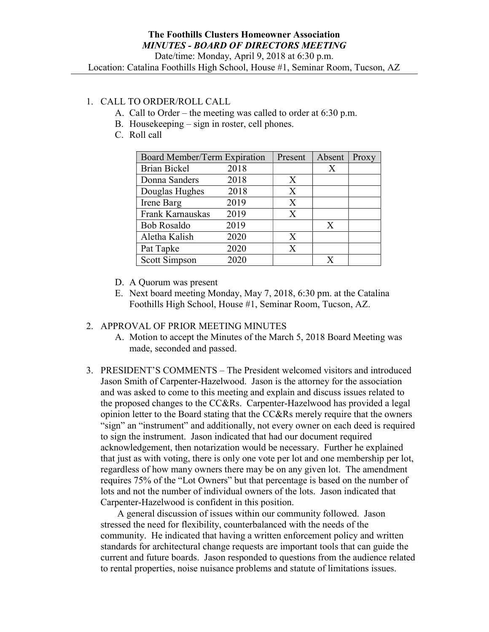Location: Catalina Foothills High School, House #1, Seminar Room, Tucson, AZ

## 1. CALL TO ORDER/ROLL CALL

- A. Call to Order the meeting was called to order at 6:30 p.m.
- B. Housekeeping sign in roster, cell phones.
- C. Roll call

| Board Member/Term Expiration |      | Present | Absent | Proxy |
|------------------------------|------|---------|--------|-------|
| <b>Brian Bickel</b>          | 2018 |         | X      |       |
| Donna Sanders                | 2018 | X       |        |       |
| Douglas Hughes               | 2018 | X       |        |       |
| Irene Barg                   | 2019 | X       |        |       |
| Frank Karnauskas             | 2019 | X       |        |       |
| <b>Bob Rosaldo</b>           | 2019 |         | X      |       |
| Aletha Kalish                | 2020 | X       |        |       |
| Pat Tapke                    | 2020 | X       |        |       |
| Scott Simpson                | 2020 |         |        |       |

- D. A Quorum was present
- E. Next board meeting Monday, May 7, 2018, 6:30 pm. at the Catalina Foothills High School, House #1, Seminar Room, Tucson, AZ.

#### 2. APPROVAL OF PRIOR MEETING MINUTES

- A. Motion to accept the Minutes of the March 5, 2018 Board Meeting was made, seconded and passed.
- 3. PRESIDENT'S COMMENTS The President welcomed visitors and introduced Jason Smith of Carpenter-Hazelwood. Jason is the attorney for the association and was asked to come to this meeting and explain and discuss issues related to the proposed changes to the CC&Rs. Carpenter-Hazelwood has provided a legal opinion letter to the Board stating that the CC&Rs merely require that the owners "sign" an "instrument" and additionally, not every owner on each deed is required to sign the instrument. Jason indicated that had our document required acknowledgement, then notarization would be necessary. Further he explained that just as with voting, there is only one vote per lot and one membership per lot, regardless of how many owners there may be on any given lot. The amendment requires 75% of the "Lot Owners" but that percentage is based on the number of lots and not the number of individual owners of the lots. Jason indicated that Carpenter-Hazelwood is confident in this position.

 A general discussion of issues within our community followed. Jason stressed the need for flexibility, counterbalanced with the needs of the community. He indicated that having a written enforcement policy and written standards for architectural change requests are important tools that can guide the current and future boards. Jason responded to questions from the audience related to rental properties, noise nuisance problems and statute of limitations issues.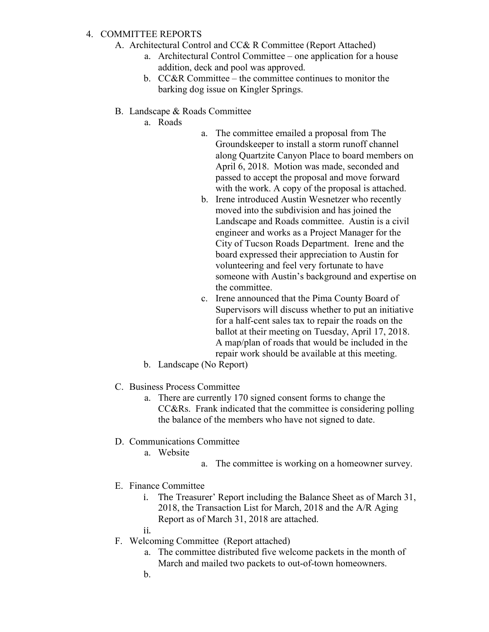#### 4. COMMITTEE REPORTS

- A. Architectural Control and CC& R Committee (Report Attached)
	- a. Architectural Control Committee one application for a house addition, deck and pool was approved.
	- b. CC&R Committee the committee continues to monitor the barking dog issue on Kingler Springs.
- B. Landscape & Roads Committee
	- a. Roads
- a. The committee emailed a proposal from The Groundskeeper to install a storm runoff channel along Quartzite Canyon Place to board members on April 6, 2018. Motion was made, seconded and passed to accept the proposal and move forward with the work. A copy of the proposal is attached.
- b. Irene introduced Austin Wesnetzer who recently moved into the subdivision and has joined the Landscape and Roads committee. Austin is a civil engineer and works as a Project Manager for the City of Tucson Roads Department. Irene and the board expressed their appreciation to Austin for volunteering and feel very fortunate to have someone with Austin's background and expertise on the committee.
- c. Irene announced that the Pima County Board of Supervisors will discuss whether to put an initiative for a half-cent sales tax to repair the roads on the ballot at their meeting on Tuesday, April 17, 2018. A map/plan of roads that would be included in the repair work should be available at this meeting.
- b. Landscape (No Report)

## C. Business Process Committee

- a. There are currently 170 signed consent forms to change the CC&Rs. Frank indicated that the committee is considering polling the balance of the members who have not signed to date.
- D. Communications Committee
	- a. Website
- a. The committee is working on a homeowner survey.
- E. Finance Committee
	- i. The Treasurer' Report including the Balance Sheet as of March 31, 2018, the Transaction List for March, 2018 and the A/R Aging Report as of March 31, 2018 are attached.
	- ii.
- F. Welcoming Committee (Report attached)
	- a. The committee distributed five welcome packets in the month of March and mailed two packets to out-of-town homeowners.
	- b.